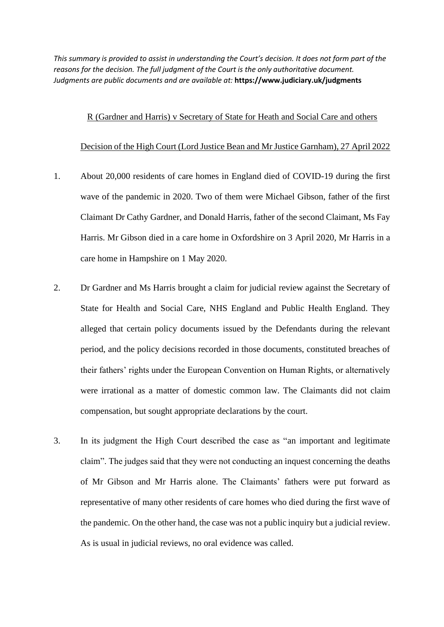*This summary is provided to assist in understanding the Court's decision. It does not form part of the reasons for the decision. The full judgment of the Court is the only authoritative document. Judgments are public documents and are available at:* **https://www.judiciary.uk/judgments**

## R (Gardner and Harris) v Secretary of State for Heath and Social Care and others

## Decision of the High Court (Lord Justice Bean and Mr Justice Garnham), 27 April 2022

- 1. About 20,000 residents of care homes in England died of COVID-19 during the first wave of the pandemic in 2020. Two of them were Michael Gibson, father of the first Claimant Dr Cathy Gardner, and Donald Harris, father of the second Claimant, Ms Fay Harris. Mr Gibson died in a care home in Oxfordshire on 3 April 2020, Mr Harris in a care home in Hampshire on 1 May 2020.
- 2. Dr Gardner and Ms Harris brought a claim for judicial review against the Secretary of State for Health and Social Care, NHS England and Public Health England. They alleged that certain policy documents issued by the Defendants during the relevant period, and the policy decisions recorded in those documents, constituted breaches of their fathers' rights under the European Convention on Human Rights, or alternatively were irrational as a matter of domestic common law. The Claimants did not claim compensation, but sought appropriate declarations by the court.
- 3. In its judgment the High Court described the case as "an important and legitimate claim". The judges said that they were not conducting an inquest concerning the deaths of Mr Gibson and Mr Harris alone. The Claimants' fathers were put forward as representative of many other residents of care homes who died during the first wave of the pandemic. On the other hand, the case was not a public inquiry but a judicial review. As is usual in judicial reviews, no oral evidence was called.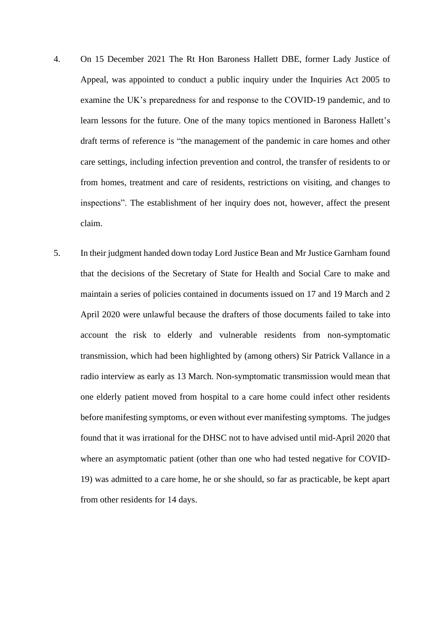- 4. On 15 December 2021 The Rt Hon Baroness Hallett DBE, former Lady Justice of Appeal, was appointed to conduct a public inquiry under the Inquiries Act 2005 to examine the UK's preparedness for and response to the COVID-19 pandemic, and to learn lessons for the future. One of the many topics mentioned in Baroness Hallett's draft terms of reference is "the management of the pandemic in care homes and other care settings, including infection prevention and control, the transfer of residents to or from homes, treatment and care of residents, restrictions on visiting, and changes to inspections". The establishment of her inquiry does not, however, affect the present claim.
- 5. In their judgment handed down today Lord Justice Bean and Mr Justice Garnham found that the decisions of the Secretary of State for Health and Social Care to make and maintain a series of policies contained in documents issued on 17 and 19 March and 2 April 2020 were unlawful because the drafters of those documents failed to take into account the risk to elderly and vulnerable residents from non-symptomatic transmission, which had been highlighted by (among others) Sir Patrick Vallance in a radio interview as early as 13 March. Non-symptomatic transmission would mean that one elderly patient moved from hospital to a care home could infect other residents before manifesting symptoms, or even without ever manifesting symptoms. The judges found that it was irrational for the DHSC not to have advised until mid-April 2020 that where an asymptomatic patient (other than one who had tested negative for COVID-19) was admitted to a care home, he or she should, so far as practicable, be kept apart from other residents for 14 days.